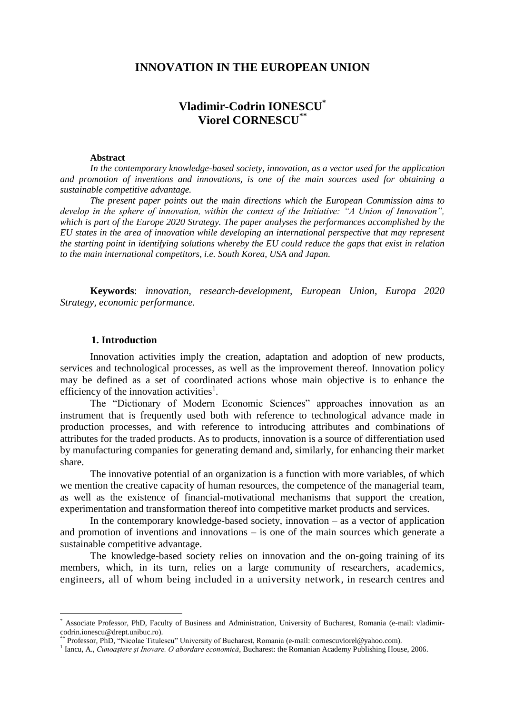## **INNOVATION IN THE EUROPEAN UNION**

# **Vladimir-Codrin IONESCU\* Viorel CORNESCU\*\***

#### **Abstract**

*In the contemporary knowledge-based society, innovation, as a vector used for the application and promotion of inventions and innovations, is one of the main sources used for obtaining a sustainable competitive advantage.* 

*The present paper points out the main directions which the European Commission aims to develop in the sphere of innovation, within the context of the Initiative: "A Union of Innovation", which is part of the Europe 2020 Strategy. The paper analyses the performances accomplished by the EU states in the area of innovation while developing an international perspective that may represent the starting point in identifying solutions whereby the EU could reduce the gaps that exist in relation to the main international competitors, i.e. South Korea, USA and Japan.* 

**Keywords**: *innovation, research-development, European Union, Europa 2020 Strategy, economic performance.*

## **1. Introduction**

Innovation activities imply the creation, adaptation and adoption of new products, services and technological processes, as well as the improvement thereof. Innovation policy may be defined as a set of coordinated actions whose main objective is to enhance the efficiency of the innovation activities<sup>1</sup>.

The "Dictionary of Modern Economic Sciences" approaches innovation as an instrument that is frequently used both with reference to technological advance made in production processes, and with reference to introducing attributes and combinations of attributes for the traded products. As to products, innovation is a source of differentiation used by manufacturing companies for generating demand and, similarly, for enhancing their market share.

The innovative potential of an organization is a function with more variables, of which we mention the creative capacity of human resources, the competence of the managerial team, as well as the existence of financial-motivational mechanisms that support the creation, experimentation and transformation thereof into competitive market products and services.

In the contemporary knowledge-based society, innovation  $-$  as a vector of application and promotion of inventions and innovations – is one of the main sources which generate a sustainable competitive advantage.

The knowledge-based society relies on innovation and the on-going training of its members, which, in its turn, relies on a large community of researchers, academics, engineers, all of whom being included in a university network, in research centres and

<sup>\*</sup> Associate Professor, PhD, Faculty of Business and Administration, University of Bucharest, Romania (e-mail: vladimircodrin.ionescu@drept.unibuc.ro).

<sup>\*</sup> Professor, PhD, "Nicolae Titulescu" University of Bucharest, Romania (e-mail: cornescuviorel@yahoo.com).

<sup>&</sup>lt;sup>1</sup> Iancu, A., *Cunoaștere și Inovare. O abordare economică*, Bucharest: the Romanian Academy Publishing House, 2006.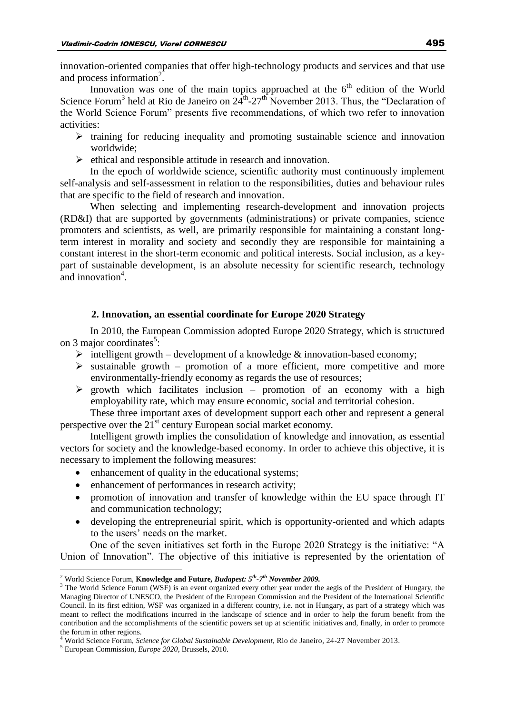innovation-oriented companies that offer high-technology products and services and that use and process information<sup>2</sup>.

Innovation was one of the main topics approached at the  $6<sup>th</sup>$  edition of the World Science Forum<sup>3</sup> held at Rio de Janeiro on  $24^{\text{th}}$ -27<sup>th</sup> November 2013. Thus, the "Declaration of the World Science Forum" presents five recommendations, of which two refer to innovation activities:

- $\triangleright$  training for reducing inequality and promoting sustainable science and innovation worldwide;
- $\triangleright$  ethical and responsible attitude in research and innovation.

In the epoch of worldwide science, scientific authority must continuously implement self-analysis and self-assessment in relation to the responsibilities, duties and behaviour rules that are specific to the field of research and innovation.

When selecting and implementing research-development and innovation projects (RD&I) that are supported by governments (administrations) or private companies, science promoters and scientists, as well, are primarily responsible for maintaining a constant longterm interest in morality and society and secondly they are responsible for maintaining a constant interest in the short-term economic and political interests. Social inclusion, as a keypart of sustainable development, is an absolute necessity for scientific research, technology and innovation<sup>4</sup>.

### **2. Innovation, an essential coordinate for Europe 2020 Strategy**

In 2010, the European Commission adopted Europe 2020 Strategy, which is structured on 3 major coordinates<sup>5</sup>:

- intelligent growth development of a knowledge  $\&$  innovation-based economy;
- $\triangleright$  sustainable growth promotion of a more efficient, more competitive and more environmentally-friendly economy as regards the use of resources;
- $\triangleright$  growth which facilitates inclusion promotion of an economy with a high employability rate, which may ensure economic, social and territorial cohesion.

These three important axes of development support each other and represent a general perspective over the  $21<sup>st</sup>$  century European social market economy.

Intelligent growth implies the consolidation of knowledge and innovation, as essential vectors for society and the knowledge-based economy. In order to achieve this objective, it is necessary to implement the following measures:

- enhancement of quality in the educational systems;
- enhancement of performances in research activity;
- promotion of innovation and transfer of knowledge within the EU space through IT and communication technology;
- developing the entrepreneurial spirit, which is opportunity-oriented and which adapts to the users' needs on the market.

One of the seven initiatives set forth in the Europe 2020 Strategy is the initiative: "A Union of Innovation". The objective of this initiative is represented by the orientation of

<sup>2</sup> World Science Forum, **Knowledge and Future***, Budapest: 5th-7th November 2009.*

<sup>&</sup>lt;sup>3</sup> The World Science Forum (WSF) is an event organized every other year under the aegis of the President of Hungary, the Managing Director of UNESCO, the President of the European Commission and the President of the International Scientific Council. In its first edition, WSF was organized in a different country, i.e. not in Hungary, as part of a strategy which was meant to reflect the modifications incurred in the landscape of science and in order to help the forum benefit from the contribution and the accomplishments of the scientific powers set up at scientific initiatives and, finally, in order to promote the forum in other regions.

<sup>4</sup> World Science Forum, *Science for Global Sustainable Development*, Rio de Janeiro, 24-27 November 2013.

<sup>5</sup> European Commission, *Europe 2020*, Brussels, 2010.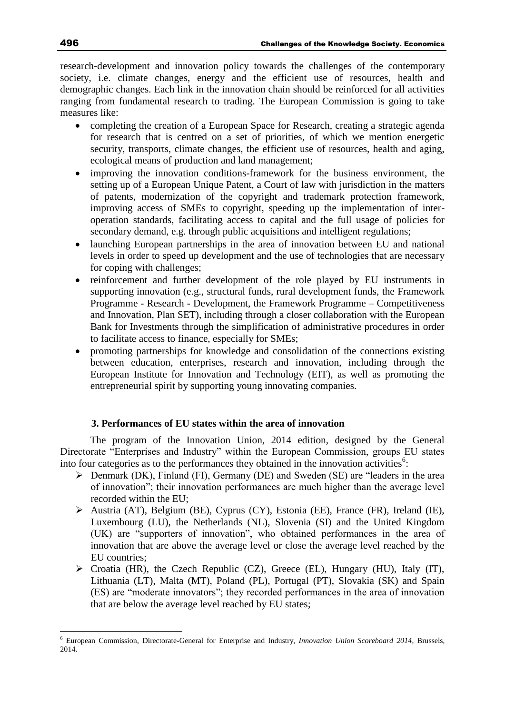research-development and innovation policy towards the challenges of the contemporary society, i.e. climate changes, energy and the efficient use of resources, health and demographic changes. Each link in the innovation chain should be reinforced for all activities ranging from fundamental research to trading. The European Commission is going to take measures like:

- completing the creation of a European Space for Research, creating a strategic agenda for research that is centred on a set of priorities, of which we mention energetic security, transports, climate changes, the efficient use of resources, health and aging, ecological means of production and land management;
- improving the innovation conditions-framework for the business environment, the setting up of a European Unique Patent, a Court of law with jurisdiction in the matters of patents, modernization of the copyright and trademark protection framework, improving access of SMEs to copyright, speeding up the implementation of interoperation standards, facilitating access to capital and the full usage of policies for secondary demand, e.g. through public acquisitions and intelligent regulations;
- launching European partnerships in the area of innovation between EU and national levels in order to speed up development and the use of technologies that are necessary for coping with challenges;
- reinforcement and further development of the role played by EU instruments in supporting innovation (e.g., structural funds, rural development funds, the Framework Programme - Research - Development, the Framework Programme – Competitiveness and Innovation, Plan SET), including through a closer collaboration with the European Bank for Investments through the simplification of administrative procedures in order to facilitate access to finance, especially for SMEs;
- promoting partnerships for knowledge and consolidation of the connections existing between education, enterprises, research and innovation, including through the European Institute for Innovation and Technology (EIT), as well as promoting the entrepreneurial spirit by supporting young innovating companies.

## **3. Performances of EU states within the area of innovation**

The program of the Innovation Union, 2014 edition, designed by the General Directorate "Enterprises and Industry" within the European Commission, groups EU states into four categories as to the performances they obtained in the innovation activities<sup>6</sup>:

- $\triangleright$  Denmark (DK), Finland (FI), Germany (DE) and Sweden (SE) are "leaders in the area of innovation"; their innovation performances are much higher than the average level recorded within the EU;
- Austria (AT), Belgium (BE), Cyprus (CY), Estonia (EE), France (FR), Ireland (IE), Luxembourg (LU), the Netherlands (NL), Slovenia (SI) and the United Kingdom (UK) are "supporters of innovation", who obtained performances in the area of innovation that are above the average level or close the average level reached by the EU countries;
- $\triangleright$  Croatia (HR), the Czech Republic (CZ), Greece (EL), Hungary (HU), Italy (IT), Lithuania (LT), Malta (MT), Poland (PL), Portugal (PT), Slovakia (SK) and Spain (ES) are "moderate innovators"; they recorded performances in the area of innovation that are below the average level reached by EU states;

<sup>6</sup> European Commission, Directorate-General for Enterprise and Industry, *Innovation Union Scoreboard 2014*, Brussels, 2014.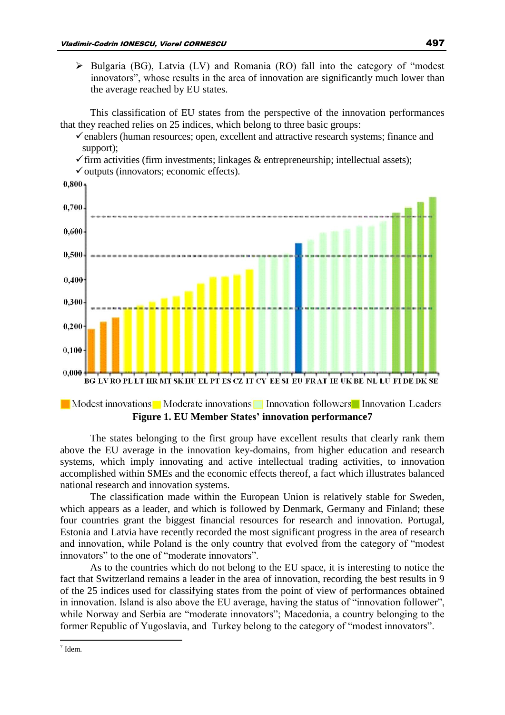$\triangleright$  Bulgaria (BG), Latvia (LV) and Romania (RO) fall into the category of "modest innovators", whose results in the area of innovation are significantly much lower than the average reached by EU states.

This classification of EU states from the perspective of the innovation performances that they reached relies on 25 indices, which belong to three basic groups:

 $\checkmark$  enablers (human resources; open, excellent and attractive research systems; finance and support);

 $\checkmark$  firm activities (firm investments; linkages & entrepreneurship; intellectual assets);



Modest innovations Moderate innovations Innovation followers Innovation Leaders **Figure 1. EU Member States' innovation performance7**

The states belonging to the first group have excellent results that clearly rank them above the EU average in the innovation key-domains, from higher education and research systems, which imply innovating and active intellectual trading activities, to innovation accomplished within SMEs and the economic effects thereof, a fact which illustrates balanced national research and innovation systems.

The classification made within the European Union is relatively stable for Sweden, which appears as a leader, and which is followed by Denmark, Germany and Finland; these four countries grant the biggest financial resources for research and innovation. Portugal, Estonia and Latvia have recently recorded the most significant progress in the area of research and innovation, while Poland is the only country that evolved from the category of "modest innovators" to the one of "moderate innovators".

As to the countries which do not belong to the EU space, it is interesting to notice the fact that Switzerland remains a leader in the area of innovation, recording the best results in 9 of the 25 indices used for classifying states from the point of view of performances obtained in innovation. Island is also above the EU average, having the status of "innovation follower", while Norway and Serbia are "moderate innovators"; Macedonia, a country belonging to the former Republic of Yugoslavia, and Turkey belong to the category of "modest innovators".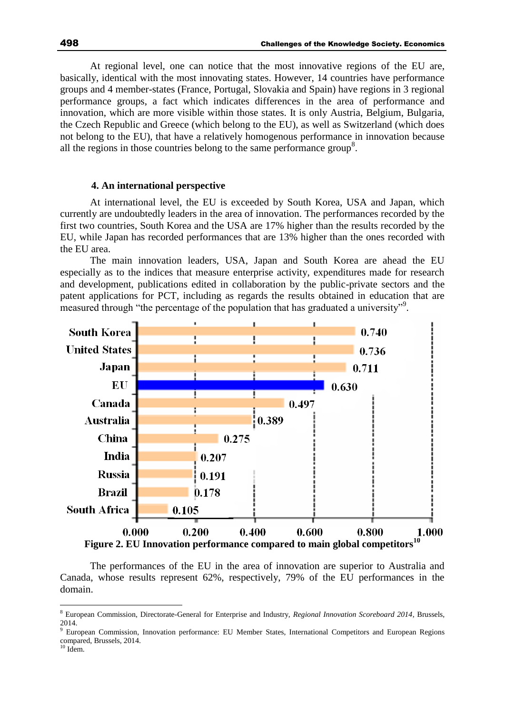At regional level, one can notice that the most innovative regions of the EU are, basically, identical with the most innovating states. However, 14 countries have performance groups and 4 member-states (France, Portugal, Slovakia and Spain) have regions in 3 regional performance groups, a fact which indicates differences in the area of performance and innovation, which are more visible within those states. It is only Austria, Belgium, Bulgaria, the Czech Republic and Greece (which belong to the EU), as well as Switzerland (which does not belong to the EU), that have a relatively homogenous performance in innovation because all the regions in those countries belong to the same performance group<sup>8</sup>.

#### **4. An international perspective**

At international level, the EU is exceeded by South Korea, USA and Japan, which currently are undoubtedly leaders in the area of innovation. The performances recorded by the first two countries, South Korea and the USA are 17% higher than the results recorded by the EU, while Japan has recorded performances that are 13% higher than the ones recorded with the EU area.

The main innovation leaders, USA, Japan and South Korea are ahead the EU especially as to the indices that measure enterprise activity, expenditures made for research and development, publications edited in collaboration by the public-private sectors and the patent applications for PCT, including as regards the results obtained in education that are measured through "the percentage of the population that has graduated a university"<sup>9</sup>.



The performances of the EU in the area of innovation are superior to Australia and Canada, whose results represent 62%, respectively, 79% of the EU performances in the domain.

<sup>8</sup> European Commission, Directorate-General for Enterprise and Industry, *Regional Innovation Scoreboard 2014*, Brussels, 2014.

<sup>&</sup>lt;sup>9</sup> European Commission, Innovation performance: EU Member States, International Competitors and European Regions compared, Brussels, 2014.

 $10$  Idem.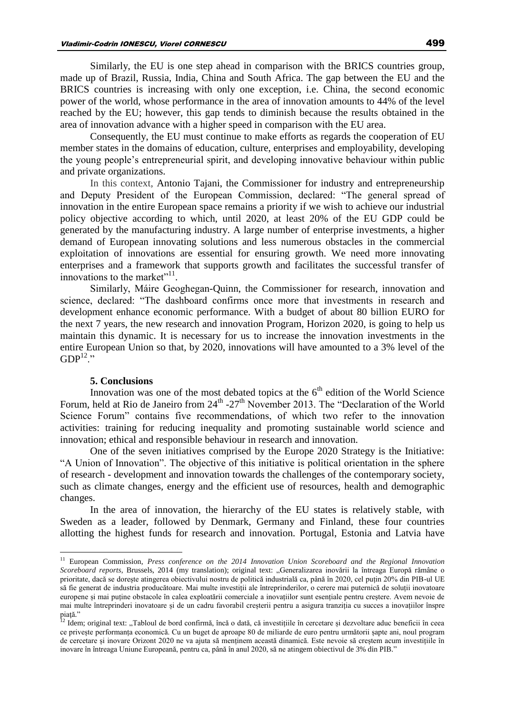Similarly, the EU is one step ahead in comparison with the BRICS countries group, made up of Brazil, Russia, India, China and South Africa. The gap between the EU and the BRICS countries is increasing with only one exception, i.e. China, the second economic power of the world, whose performance in the area of innovation amounts to 44% of the level reached by the EU; however, this gap tends to diminish because the results obtained in the area of innovation advance with a higher speed in comparison with the EU area.

Consequently, the EU must continue to make efforts as regards the cooperation of EU member states in the domains of education, culture, enterprises and employability, developing the young people's entrepreneurial spirit, and developing innovative behaviour within public and private organizations.

In this context, Antonio Tajani, the Commissioner for industry and entrepreneurship and Deputy President of the European Commission, declared: "The general spread of innovation in the entire European space remains a priority if we wish to achieve our industrial policy objective according to which, until 2020, at least 20% of the EU GDP could be generated by the manufacturing industry. A large number of enterprise investments, a higher demand of European innovating solutions and less numerous obstacles in the commercial exploitation of innovations are essential for ensuring growth. We need more innovating enterprises and a framework that supports growth and facilitates the successful transfer of innovations to the market"<sup>11</sup>.

Similarly, Máire Geoghegan-Quinn, the Commissioner for research, innovation and science, declared: "The dashboard confirms once more that investments in research and development enhance economic performance. With a budget of about 80 billion EURO for the next 7 years, the new research and innovation Program, Horizon 2020, is going to help us maintain this dynamic. It is necessary for us to increase the innovation investments in the entire European Union so that, by 2020, innovations will have amounted to a 3% level of the  $GDP<sup>12</sup>$ "

#### **5. Conclusions**

Innovation was one of the most debated topics at the  $6<sup>th</sup>$  edition of the World Science Forum, held at Rio de Janeiro from  $24<sup>th</sup>$  -27<sup>th</sup> November 2013. The "Declaration of the World Science Forum" contains five recommendations, of which two refer to the innovation activities: training for reducing inequality and promoting sustainable world science and innovation; ethical and responsible behaviour in research and innovation.

One of the seven initiatives comprised by the Europe 2020 Strategy is the Initiative: "A Union of Innovation". The objective of this initiative is political orientation in the sphere of research - development and innovation towards the challenges of the contemporary society, such as climate changes, energy and the efficient use of resources, health and demographic changes.

In the area of innovation, the hierarchy of the EU states is relatively stable, with Sweden as a leader, followed by Denmark, Germany and Finland, these four countries allotting the highest funds for research and innovation. Portugal, Estonia and Latvia have

<sup>11</sup> European Commission, *Press conference on the 2014 Innovation Union Scoreboard and the Regional Innovation Scoreboard reports*, Brussels, 2014 (my translation); original text: "Generalizarea inovării la întreaga Europă rămâne o prioritate, dacă se dorește atingerea obiectivului nostru de politică industrială ca, până în 2020, cel puțin 20% din PIB-ul UE să fie generat de industria producătoare. Mai multe investiții ale întreprinderilor, o cerere mai puternică de soluții inovatoare europene și mai puține obstacole în calea exploatării comerciale a inovațiilor sunt esențiale pentru creștere. Avem nevoie de mai multe întreprinderi inovatoare și de un cadru favorabil creșterii pentru a asigura tranziția cu succes a inovațiilor înspre piaţă."

 $^{12}$  Idem; original text: "Tabloul de bord confirmă, încă o dată, că investițiile în cercetare și dezvoltare aduc beneficii în ceea ce privește performanța economică. Cu un buget de aproape 80 de miliarde de euro pentru următorii șapte ani, noul program de cercetare și inovare Orizont 2020 ne va ajuta să menținem această dinamică. Este nevoie să creștem acum investițiile în inovare în întreaga Uniune Europeană, pentru ca, până în anul 2020, să ne atingem obiectivul de 3% din PIB."